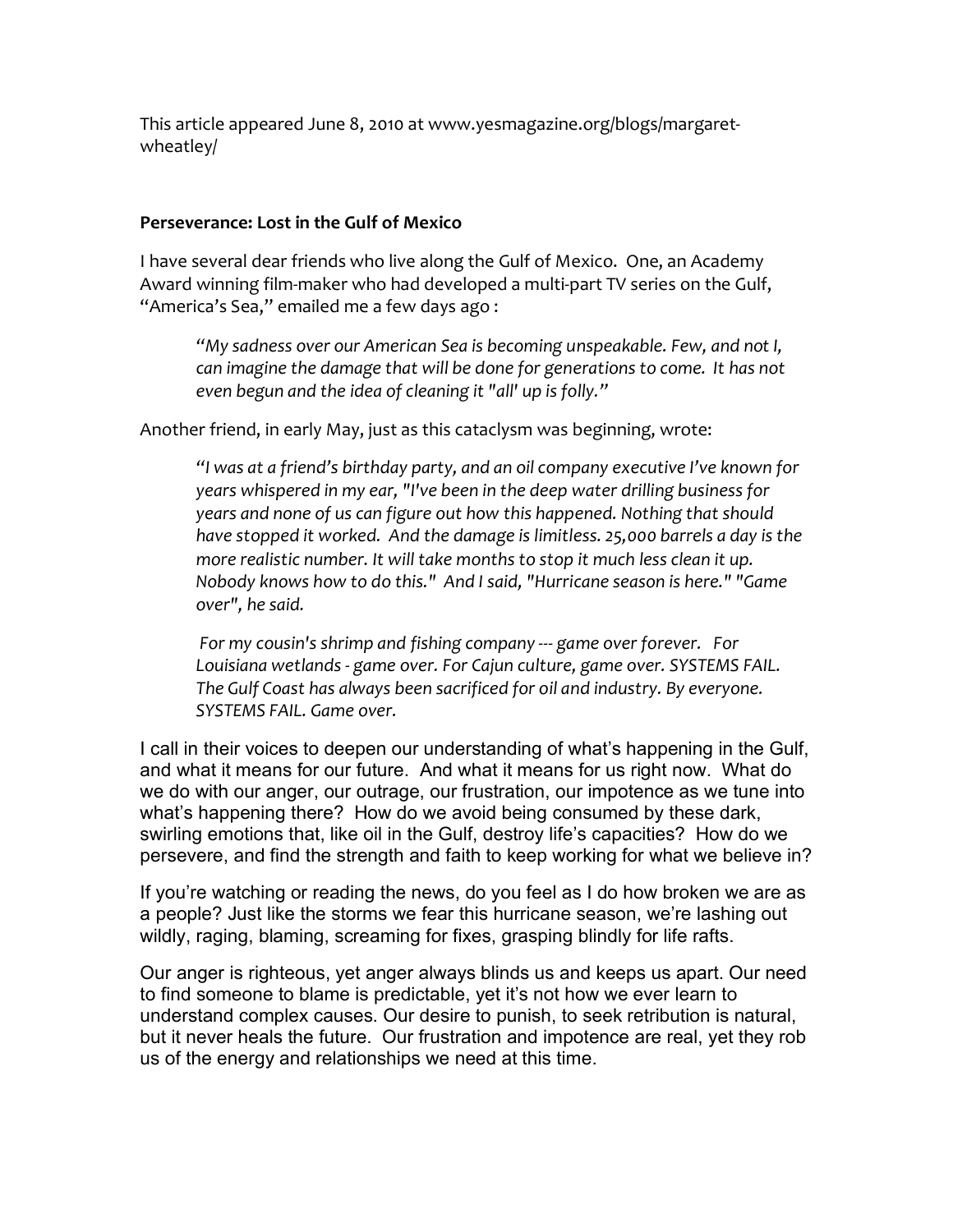This
article
appeared
June
8,
2010
at
www.yesmagazine.org/blogs/margaret‐ wheatley/

## **Perseverance:
Lost
in
the
Gulf
of
Mexico**

I have several dear friends who live along the Gulf of Mexico. One, an Academy Award winning film-maker who had developed a multi-part TV series on the Gulf, "America's Sea," emailed me a few days ago:

"My sadness over our American Sea is becoming unspeakable. Few, and not I, can imagine the damage that will be done for generations to come. It has not even begun and the idea of cleaning it "all' up is folly."

Another friend, in early May, just as this cataclysm was beginning, wrote:

*"I
was
at
a
friend's
birthday
party,
and
an
oil
company
executive
I've
known
for years
whispered
in
my
ear,
"I've
been
in
the
deep
water
drilling
business
for*  years and none of us can figure out how this happened. Nothing that should have stopped it worked. And the damage is limitless. 25,000 barrels a day is the more realistic number. It will take months to stop it much less clean it up. Nobody knows how to do this." And I said, "Hurricane season is here." "Game *over",
he
said.* 

For my cousin's shrimp and fishing company --- game over forever. For Louisiana wetlands - game over. For Cajun culture, game over. SYSTEMS FAIL. The Gulf Coast has always been sacrificed for oil and industry. By everyone. *SYSTEMS
FAIL.
Game
over.*

I call in their voices to deepen our understanding of what's happening in the Gulf, and what it means for our future. And what it means for us right now. What do we do with our anger, our outrage, our frustration, our impotence as we tune into what's happening there? How do we avoid being consumed by these dark, swirling emotions that, like oil in the Gulf, destroy life's capacities? How do we persevere, and find the strength and faith to keep working for what we believe in?

If you're watching or reading the news, do you feel as I do how broken we are as a people? Just like the storms we fear this hurricane season, we're lashing out wildly, raging, blaming, screaming for fixes, grasping blindly for life rafts.

Our anger is righteous, yet anger always blinds us and keeps us apart. Our need to find someone to blame is predictable, yet it's not how we ever learn to understand complex causes. Our desire to punish, to seek retribution is natural, but it never heals the future. Our frustration and impotence are real, yet they rob us of the energy and relationships we need at this time.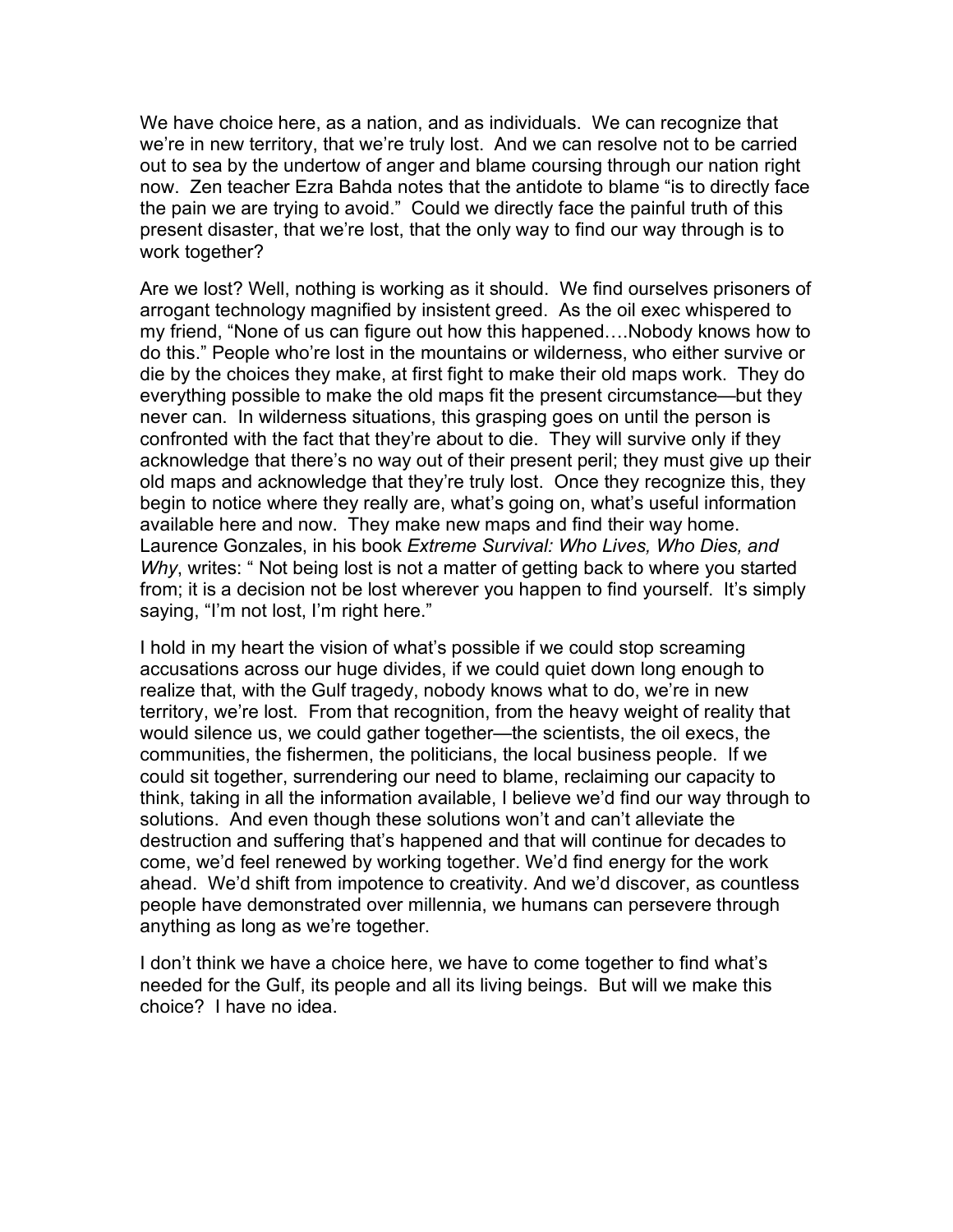We have choice here, as a nation, and as individuals. We can recognize that we're in new territory, that we're truly lost. And we can resolve not to be carried out to sea by the undertow of anger and blame coursing through our nation right now. Zen teacher Ezra Bahda notes that the antidote to blame "is to directly face the pain we are trying to avoid." Could we directly face the painful truth of this present disaster, that we're lost, that the only way to find our way through is to work together?

Are we lost? Well, nothing is working as it should. We find ourselves prisoners of arrogant technology magnified by insistent greed. As the oil exec whispered to my friend, "None of us can figure out how this happened….Nobody knows how to do this." People who're lost in the mountains or wilderness, who either survive or die by the choices they make, at first fight to make their old maps work. They do everything possible to make the old maps fit the present circumstance—but they never can. In wilderness situations, this grasping goes on until the person is confronted with the fact that they're about to die. They will survive only if they acknowledge that there's no way out of their present peril; they must give up their old maps and acknowledge that they're truly lost. Once they recognize this, they begin to notice where they really are, what's going on, what's useful information available here and now. They make new maps and find their way home. Laurence Gonzales, in his book *Extreme Survival: Who Lives, Who Dies, and Why*, writes: " Not being lost is not a matter of getting back to where you started from; it is a decision not be lost wherever you happen to find yourself. It's simply saying, "I'm not lost, I'm right here."

I hold in my heart the vision of what's possible if we could stop screaming accusations across our huge divides, if we could quiet down long enough to realize that, with the Gulf tragedy, nobody knows what to do, we're in new territory, we're lost. From that recognition, from the heavy weight of reality that would silence us, we could gather together—the scientists, the oil execs, the communities, the fishermen, the politicians, the local business people. If we could sit together, surrendering our need to blame, reclaiming our capacity to think, taking in all the information available, I believe we'd find our way through to solutions. And even though these solutions won't and can't alleviate the destruction and suffering that's happened and that will continue for decades to come, we'd feel renewed by working together. We'd find energy for the work ahead. We'd shift from impotence to creativity. And we'd discover, as countless people have demonstrated over millennia, we humans can persevere through anything as long as we're together.

I don't think we have a choice here, we have to come together to find what's needed for the Gulf, its people and all its living beings. But will we make this choice? I have no idea.